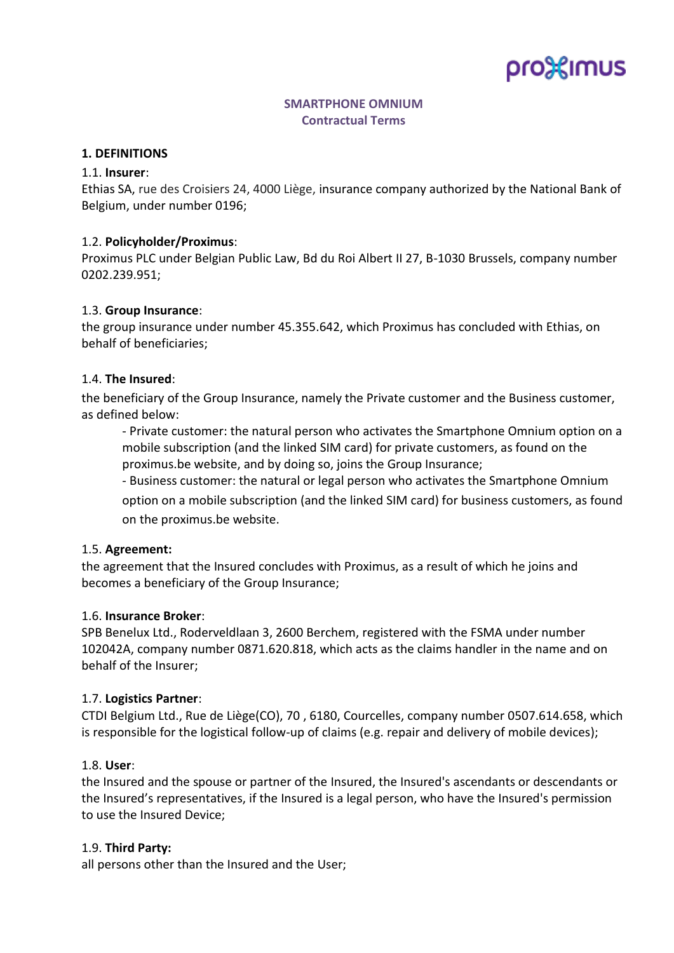# pro%imus

## **SMARTPHONE OMNIUM Contractual Terms**

#### **1. DEFINITIONS**

#### 1.1. **Insurer**:

Ethias SA, rue des Croisiers 24, 4000 Liège, insurance company authorized by the National Bank of Belgium, under number 0196;

#### 1.2. **Policyholder/Proximus**:

Proximus PLC under Belgian Public Law, Bd du Roi Albert II 27, B-1030 Brussels, company number 0202.239.951;

#### 1.3. **Group Insurance**:

the group insurance under number 45.355.642, which Proximus has concluded with Ethias, on behalf of beneficiaries;

#### 1.4. **The Insured**:

the beneficiary of the Group Insurance, namely the Private customer and the Business customer, as defined below:

- Private customer: the natural person who activates the Smartphone Omnium option on a mobile subscription (and the linked SIM card) for private customers, as found on the proximus.be website, and by doing so, joins the Group Insurance;

- Business customer: the natural or legal person who activates the Smartphone Omnium option on a mobile subscription (and the linked SIM card) for business customers, as found on the proximus.be website.

#### 1.5. **Agreement:**

the agreement that the Insured concludes with Proximus, as a result of which he joins and becomes a beneficiary of the Group Insurance;

#### 1.6. **Insurance Broker**:

SPB Benelux Ltd., Roderveldlaan 3, 2600 Berchem, registered with the FSMA under number 102042A, company number 0871.620.818, which acts as the claims handler in the name and on behalf of the Insurer;

#### 1.7. **Logistics Partner**:

CTDI Belgium Ltd., Rue de Liège(CO), 70 , 6180, Courcelles, company number 0507.614.658, which is responsible for the logistical follow-up of claims (e.g. repair and delivery of mobile devices);

#### 1.8. **User**:

the Insured and the spouse or partner of the Insured, the Insured's ascendants or descendants or the Insured's representatives, if the Insured is a legal person, who have the Insured's permission to use the Insured Device;

#### 1.9. **Third Party:**

all persons other than the Insured and the User;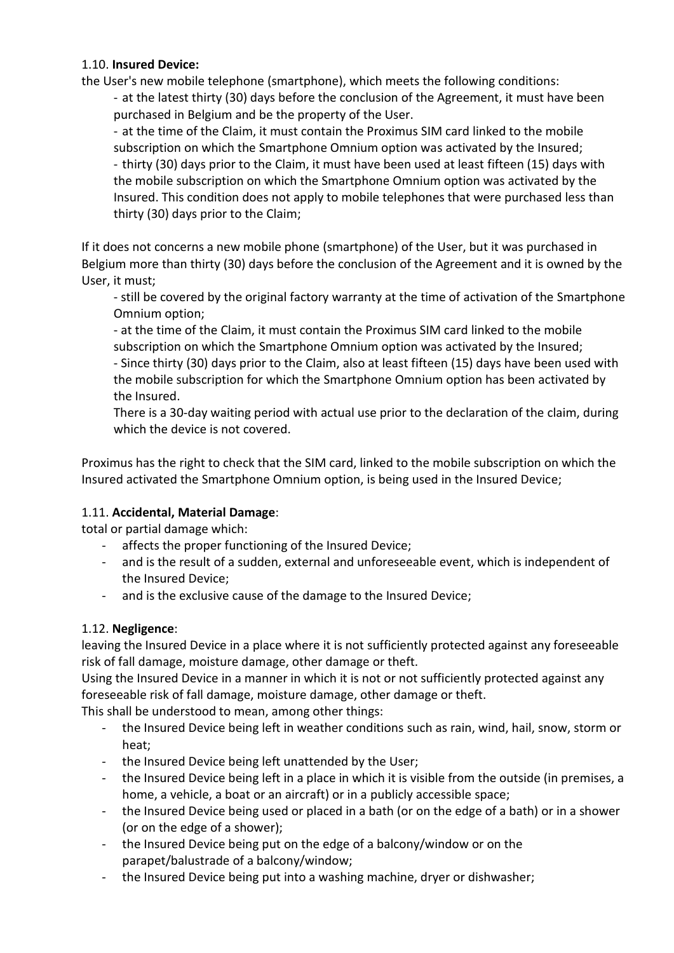## 1.10. **Insured Device:**

the User's new mobile telephone (smartphone), which meets the following conditions:

- at the latest thirty (30) days before the conclusion of the Agreement, it must have been purchased in Belgium and be the property of the User.

- at the time of the Claim, it must contain the Proximus SIM card linked to the mobile subscription on which the Smartphone Omnium option was activated by the Insured; - thirty (30) days prior to the Claim, it must have been used at least fifteen (15) days with the mobile subscription on which the Smartphone Omnium option was activated by the Insured. This condition does not apply to mobile telephones that were purchased less than thirty (30) days prior to the Claim;

If it does not concerns a new mobile phone (smartphone) of the User, but it was purchased in Belgium more than thirty (30) days before the conclusion of the Agreement and it is owned by the User, it must;

- still be covered by the original factory warranty at the time of activation of the Smartphone Omnium option;

- at the time of the Claim, it must contain the Proximus SIM card linked to the mobile subscription on which the Smartphone Omnium option was activated by the Insured; - Since thirty (30) days prior to the Claim, also at least fifteen (15) days have been used with the mobile subscription for which the Smartphone Omnium option has been activated by the Insured.

There is a 30-day waiting period with actual use prior to the declaration of the claim, during which the device is not covered

Proximus has the right to check that the SIM card, linked to the mobile subscription on which the Insured activated the Smartphone Omnium option, is being used in the Insured Device;

## 1.11. **Accidental, Material Damage**:

total or partial damage which:

- affects the proper functioning of the Insured Device;
- and is the result of a sudden, external and unforeseeable event, which is independent of the Insured Device;
- and is the exclusive cause of the damage to the Insured Device;

## 1.12. **Negligence**:

leaving the Insured Device in a place where it is not sufficiently protected against any foreseeable risk of fall damage, moisture damage, other damage or theft.

Using the Insured Device in a manner in which it is not or not sufficiently protected against any foreseeable risk of fall damage, moisture damage, other damage or theft.

This shall be understood to mean, among other things:

- the Insured Device being left in weather conditions such as rain, wind, hail, snow, storm or heat;
- the Insured Device being left unattended by the User;
- the Insured Device being left in a place in which it is visible from the outside (in premises, a home, a vehicle, a boat or an aircraft) or in a publicly accessible space;
- the Insured Device being used or placed in a bath (or on the edge of a bath) or in a shower (or on the edge of a shower);
- the Insured Device being put on the edge of a balcony/window or on the parapet/balustrade of a balcony/window;
- the Insured Device being put into a washing machine, dryer or dishwasher;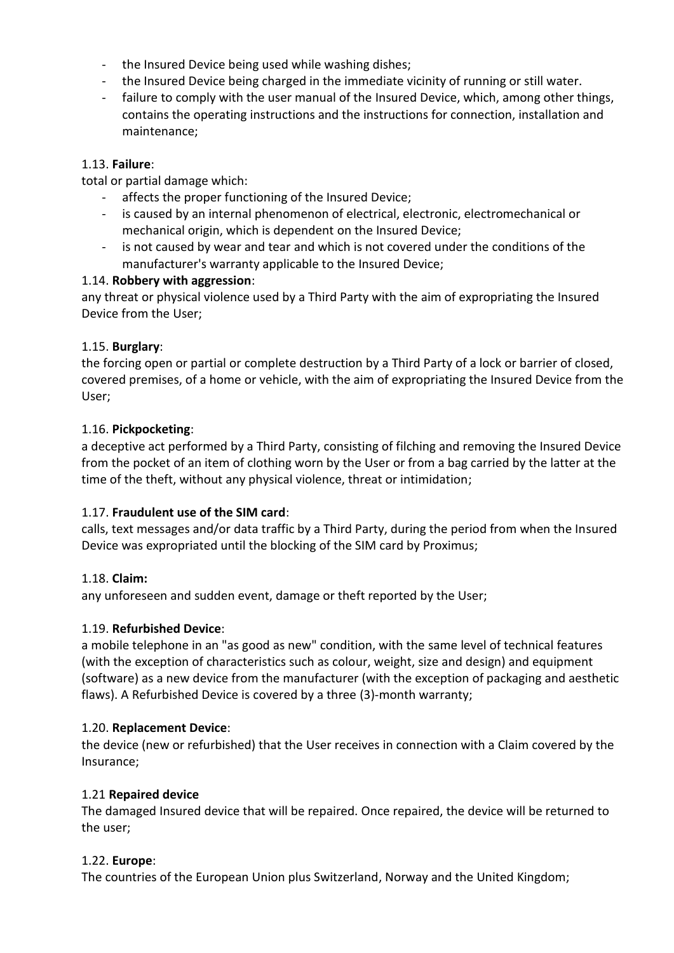- the Insured Device being used while washing dishes;
- the Insured Device being charged in the immediate vicinity of running or still water.
- failure to comply with the user manual of the Insured Device, which, among other things, contains the operating instructions and the instructions for connection, installation and maintenance;

# 1.13. **Failure**:

total or partial damage which:

- affects the proper functioning of the Insured Device;
- is caused by an internal phenomenon of electrical, electronic, electromechanical or mechanical origin, which is dependent on the Insured Device;
- is not caused by wear and tear and which is not covered under the conditions of the manufacturer's warranty applicable to the Insured Device;

# 1.14. **Robbery with aggression**:

any threat or physical violence used by a Third Party with the aim of expropriating the Insured Device from the User;

## 1.15. **Burglary**:

the forcing open or partial or complete destruction by a Third Party of a lock or barrier of closed, covered premises, of a home or vehicle, with the aim of expropriating the Insured Device from the User;

# 1.16. **Pickpocketing**:

a deceptive act performed by a Third Party, consisting of filching and removing the Insured Device from the pocket of an item of clothing worn by the User or from a bag carried by the latter at the time of the theft, without any physical violence, threat or intimidation;

## 1.17. **Fraudulent use of the SIM card**:

calls, text messages and/or data traffic by a Third Party, during the period from when the Insured Device was expropriated until the blocking of the SIM card by Proximus;

## 1.18. **Claim:**

any unforeseen and sudden event, damage or theft reported by the User;

## 1.19. **Refurbished Device**:

a mobile telephone in an "as good as new" condition, with the same level of technical features (with the exception of characteristics such as colour, weight, size and design) and equipment (software) as a new device from the manufacturer (with the exception of packaging and aesthetic flaws). A Refurbished Device is covered by a three (3)-month warranty;

## 1.20. **Replacement Device**:

the device (new or refurbished) that the User receives in connection with a Claim covered by the Insurance;

## 1.21 **Repaired device**

The damaged Insured device that will be repaired. Once repaired, the device will be returned to the user;

# 1.22. **Europe**:

The countries of the European Union plus Switzerland, Norway and the United Kingdom;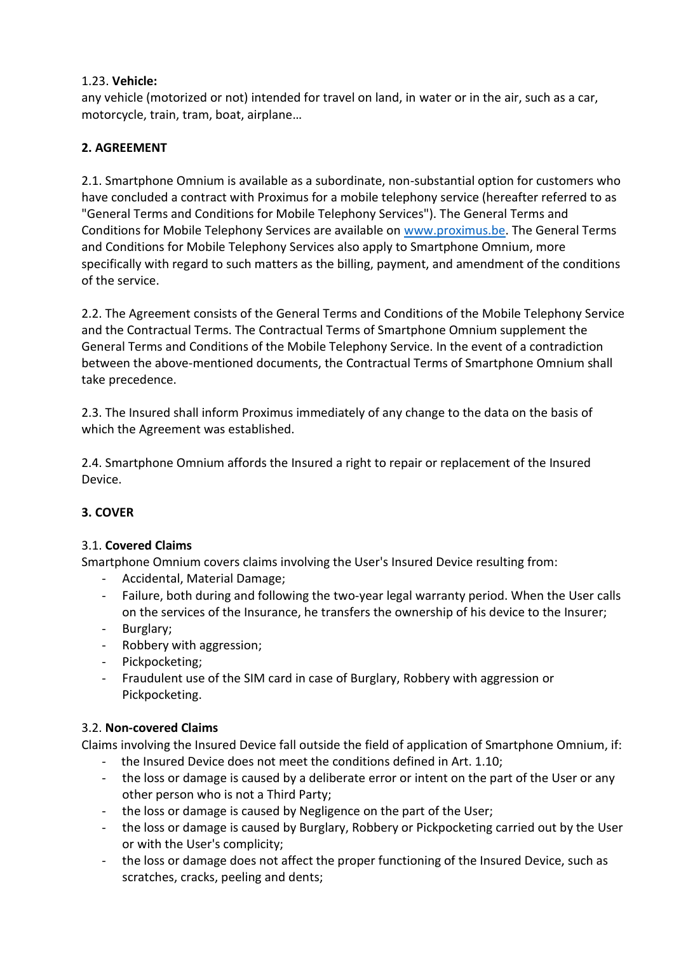# 1.23. **Vehicle:**

any vehicle (motorized or not) intended for travel on land, in water or in the air, such as a car, motorcycle, train, tram, boat, airplane…

# **2. AGREEMENT**

2.1. Smartphone Omnium is available as a subordinate, non-substantial option for customers who have concluded a contract with Proximus for a mobile telephony service (hereafter referred to as "General Terms and Conditions for Mobile Telephony Services"). The General Terms and Conditions for Mobile Telephony Services are available on [www.proximus.be.](http://www.proximus.be/) The General Terms and Conditions for Mobile Telephony Services also apply to Smartphone Omnium, more specifically with regard to such matters as the billing, payment, and amendment of the conditions of the service.

2.2. The Agreement consists of the General Terms and Conditions of the Mobile Telephony Service and the Contractual Terms. The Contractual Terms of Smartphone Omnium supplement the General Terms and Conditions of the Mobile Telephony Service. In the event of a contradiction between the above-mentioned documents, the Contractual Terms of Smartphone Omnium shall take precedence.

2.3. The Insured shall inform Proximus immediately of any change to the data on the basis of which the Agreement was established.

2.4. Smartphone Omnium affords the Insured a right to repair or replacement of the Insured Device.

# **3. COVER**

## 3.1. **Covered Claims**

Smartphone Omnium covers claims involving the User's Insured Device resulting from:

- Accidental, Material Damage;
- Failure, both during and following the two-year legal warranty period. When the User calls on the services of the Insurance, he transfers the ownership of his device to the Insurer;
- Burglary;
- Robbery with aggression;
- Pickpocketing;
- Fraudulent use of the SIM card in case of Burglary, Robbery with aggression or Pickpocketing.

## 3.2. **Non-covered Claims**

Claims involving the Insured Device fall outside the field of application of Smartphone Omnium, if:

- the Insured Device does not meet the conditions defined in Art. 1.10;
- the loss or damage is caused by a deliberate error or intent on the part of the User or any other person who is not a Third Party;
- the loss or damage is caused by Negligence on the part of the User;
- the loss or damage is caused by Burglary, Robbery or Pickpocketing carried out by the User or with the User's complicity;
- the loss or damage does not affect the proper functioning of the Insured Device, such as scratches, cracks, peeling and dents;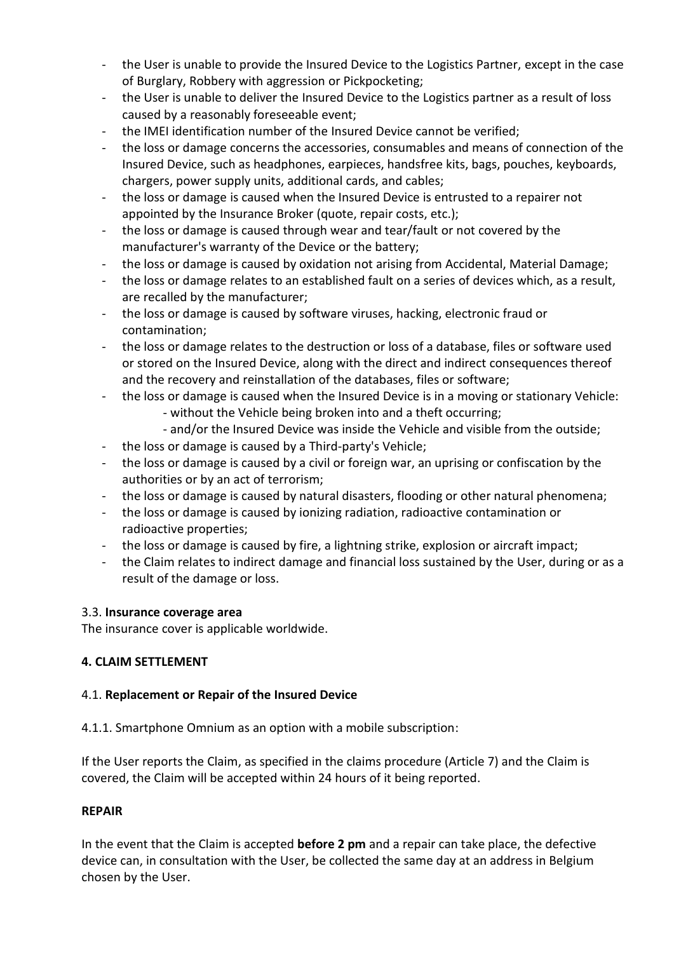- the User is unable to provide the Insured Device to the Logistics Partner, except in the case of Burglary, Robbery with aggression or Pickpocketing;
- the User is unable to deliver the Insured Device to the Logistics partner as a result of loss caused by a reasonably foreseeable event;
- the IMEI identification number of the Insured Device cannot be verified:
- the loss or damage concerns the accessories, consumables and means of connection of the Insured Device, such as headphones, earpieces, handsfree kits, bags, pouches, keyboards, chargers, power supply units, additional cards, and cables;
- the loss or damage is caused when the Insured Device is entrusted to a repairer not appointed by the Insurance Broker (quote, repair costs, etc.);
- the loss or damage is caused through wear and tear/fault or not covered by the manufacturer's warranty of the Device or the battery;
- the loss or damage is caused by oxidation not arising from Accidental, Material Damage;
- the loss or damage relates to an established fault on a series of devices which, as a result, are recalled by the manufacturer;
- the loss or damage is caused by software viruses, hacking, electronic fraud or contamination;
- the loss or damage relates to the destruction or loss of a database, files or software used or stored on the Insured Device, along with the direct and indirect consequences thereof and the recovery and reinstallation of the databases, files or software;
- the loss or damage is caused when the Insured Device is in a moving or stationary Vehicle:
	- without the Vehicle being broken into and a theft occurring;
	- and/or the Insured Device was inside the Vehicle and visible from the outside;
- the loss or damage is caused by a Third-party's Vehicle;
- the loss or damage is caused by a civil or foreign war, an uprising or confiscation by the authorities or by an act of terrorism;
- the loss or damage is caused by natural disasters, flooding or other natural phenomena;
- the loss or damage is caused by ionizing radiation, radioactive contamination or radioactive properties;
- the loss or damage is caused by fire, a lightning strike, explosion or aircraft impact;
- the Claim relates to indirect damage and financial loss sustained by the User, during or as a result of the damage or loss.

#### 3.3. **Insurance coverage area**

The insurance cover is applicable worldwide.

## **4. CLAIM SETTLEMENT**

## 4.1. **Replacement or Repair of the Insured Device**

4.1.1. Smartphone Omnium as an option with a mobile subscription:

If the User reports the Claim, as specified in the claims procedure (Article 7) and the Claim is covered, the Claim will be accepted within 24 hours of it being reported.

#### **REPAIR**

In the event that the Claim is accepted **before 2 pm** and a repair can take place, the defective device can, in consultation with the User, be collected the same day at an address in Belgium chosen by the User.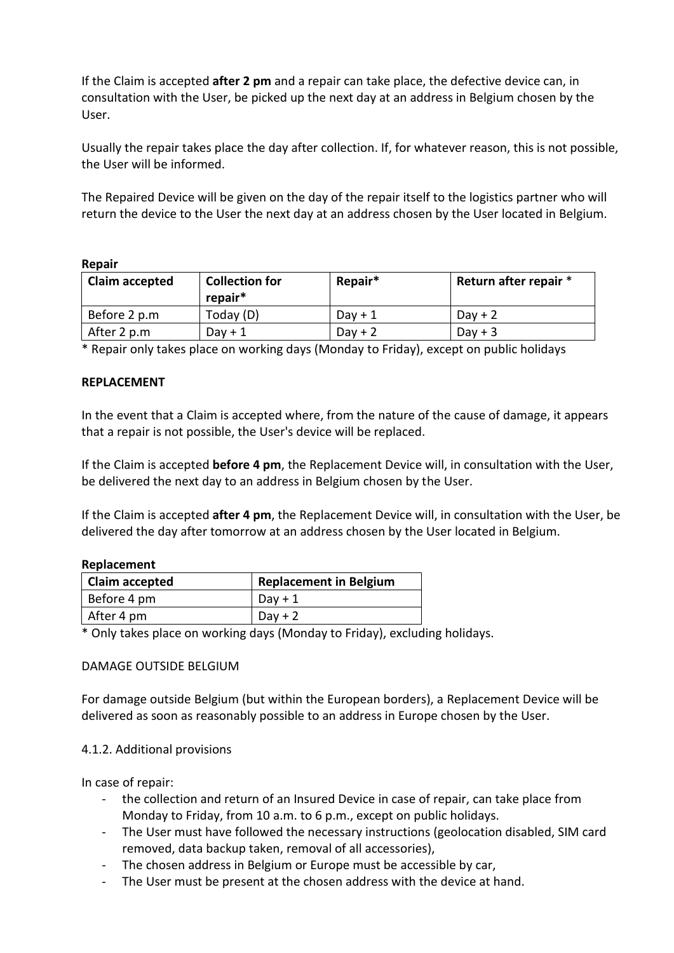If the Claim is accepted **after 2 pm** and a repair can take place, the defective device can, in consultation with the User, be picked up the next day at an address in Belgium chosen by the User.

Usually the repair takes place the day after collection. If, for whatever reason, this is not possible, the User will be informed.

The Repaired Device will be given on the day of the repair itself to the logistics partner who will return the device to the User the next day at an address chosen by the User located in Belgium.

#### **Repair**

| <b>Claim accepted</b> | <b>Collection for</b><br>repair* | Repair*   | Return after repair * |
|-----------------------|----------------------------------|-----------|-----------------------|
| Before 2 p.m          | Today (D)                        | $Day + 1$ | $Day + 2$             |
| After 2 p.m           | Dav $+1$                         | $Day + 2$ | $Day + 3$             |

\* Repair only takes place on working days (Monday to Friday), except on public holidays

#### **REPLACEMENT**

In the event that a Claim is accepted where, from the nature of the cause of damage, it appears that a repair is not possible, the User's device will be replaced.

If the Claim is accepted **before 4 pm**, the Replacement Device will, in consultation with the User, be delivered the next day to an address in Belgium chosen by the User.

If the Claim is accepted **after 4 pm**, the Replacement Device will, in consultation with the User, be delivered the day after tomorrow at an address chosen by the User located in Belgium.

#### **Replacement**

| Claim accepted | <b>Replacement in Belgium</b> |
|----------------|-------------------------------|
| Before 4 pm    | $Day + 1$                     |
| After 4 pm     | $Day + 2$                     |

\* Only takes place on working days (Monday to Friday), excluding holidays.

#### DAMAGE OUTSIDE BELGIUM

For damage outside Belgium (but within the European borders), a Replacement Device will be delivered as soon as reasonably possible to an address in Europe chosen by the User.

#### 4.1.2. Additional provisions

In case of repair:

- the collection and return of an Insured Device in case of repair, can take place from Monday to Friday, from 10 a.m. to 6 p.m., except on public holidays.
- The User must have followed the necessary instructions (geolocation disabled, SIM card removed, data backup taken, removal of all accessories),
- The chosen address in Belgium or Europe must be accessible by car,
- The User must be present at the chosen address with the device at hand.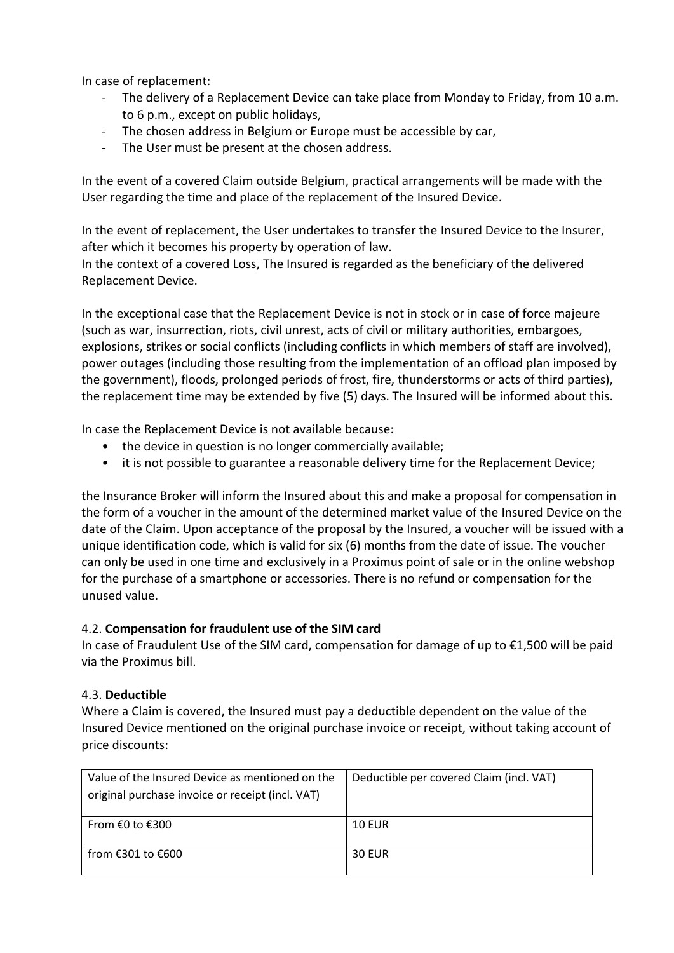In case of replacement:

- The delivery of a Replacement Device can take place from Monday to Friday, from 10 a.m. to 6 p.m., except on public holidays,
- The chosen address in Belgium or Europe must be accessible by car,
- The User must be present at the chosen address.

In the event of a covered Claim outside Belgium, practical arrangements will be made with the User regarding the time and place of the replacement of the Insured Device.

In the event of replacement, the User undertakes to transfer the Insured Device to the Insurer, after which it becomes his property by operation of law.

In the context of a covered Loss, The Insured is regarded as the beneficiary of the delivered Replacement Device.

In the exceptional case that the Replacement Device is not in stock or in case of force majeure (such as war, insurrection, riots, civil unrest, acts of civil or military authorities, embargoes, explosions, strikes or social conflicts (including conflicts in which members of staff are involved), power outages (including those resulting from the implementation of an offload plan imposed by the government), floods, prolonged periods of frost, fire, thunderstorms or acts of third parties), the replacement time may be extended by five (5) days. The Insured will be informed about this.

In case the Replacement Device is not available because:

- the device in question is no longer commercially available;
- it is not possible to guarantee a reasonable delivery time for the Replacement Device;

the Insurance Broker will inform the Insured about this and make a proposal for compensation in the form of a voucher in the amount of the determined market value of the Insured Device on the date of the Claim. Upon acceptance of the proposal by the Insured, a voucher will be issued with a unique identification code, which is valid for six (6) months from the date of issue. The voucher can only be used in one time and exclusively in a Proximus point of sale or in the online webshop for the purchase of a smartphone or accessories. There is no refund or compensation for the unused value.

#### 4.2. **Compensation for fraudulent use of the SIM card**

In case of Fraudulent Use of the SIM card, compensation for damage of up to €1,500 will be paid via the Proximus bill.

## 4.3. **Deductible**

Where a Claim is covered, the Insured must pay a deductible dependent on the value of the Insured Device mentioned on the original purchase invoice or receipt, without taking account of price discounts:

| Value of the Insured Device as mentioned on the  | Deductible per covered Claim (incl. VAT) |
|--------------------------------------------------|------------------------------------------|
| original purchase invoice or receipt (incl. VAT) |                                          |
|                                                  |                                          |
| From €0 to €300                                  | <b>10 EUR</b>                            |
|                                                  |                                          |
| from €301 to €600                                | <b>30 EUR</b>                            |
|                                                  |                                          |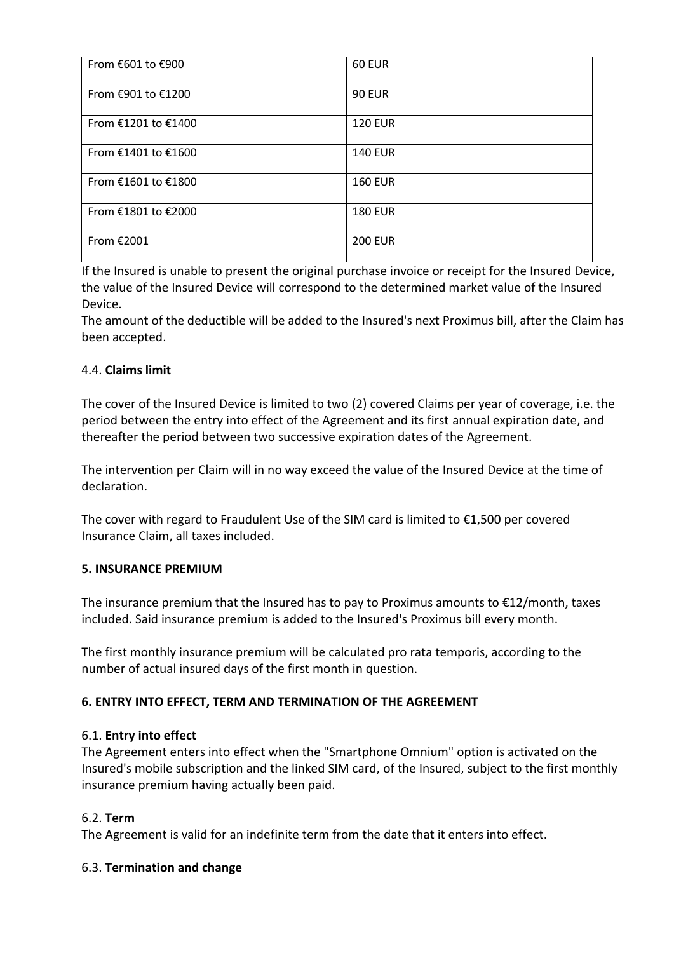| From €601 to €900   | <b>60 EUR</b>  |
|---------------------|----------------|
| From €901 to €1200  | <b>90 EUR</b>  |
| From €1201 to €1400 | <b>120 EUR</b> |
| From €1401 to €1600 | <b>140 EUR</b> |
| From €1601 to €1800 | <b>160 EUR</b> |
| From €1801 to €2000 | <b>180 EUR</b> |
| From €2001          | <b>200 EUR</b> |

If the Insured is unable to present the original purchase invoice or receipt for the Insured Device, the value of the Insured Device will correspond to the determined market value of the Insured Device.

The amount of the deductible will be added to the Insured's next Proximus bill, after the Claim has been accepted.

## 4.4. **Claims limit**

The cover of the Insured Device is limited to two (2) covered Claims per year of coverage, i.e. the period between the entry into effect of the Agreement and its first annual expiration date, and thereafter the period between two successive expiration dates of the Agreement.

The intervention per Claim will in no way exceed the value of the Insured Device at the time of declaration.

The cover with regard to Fraudulent Use of the SIM card is limited to €1,500 per covered Insurance Claim, all taxes included.

#### **5. INSURANCE PREMIUM**

The insurance premium that the Insured has to pay to Proximus amounts to  $E12/m$ onth, taxes included. Said insurance premium is added to the Insured's Proximus bill every month.

The first monthly insurance premium will be calculated pro rata temporis, according to the number of actual insured days of the first month in question.

## **6. ENTRY INTO EFFECT, TERM AND TERMINATION OF THE AGREEMENT**

#### 6.1. **Entry into effect**

The Agreement enters into effect when the "Smartphone Omnium" option is activated on the Insured's mobile subscription and the linked SIM card, of the Insured, subject to the first monthly insurance premium having actually been paid.

#### 6.2. **Term**

The Agreement is valid for an indefinite term from the date that it enters into effect.

#### 6.3. **Termination and change**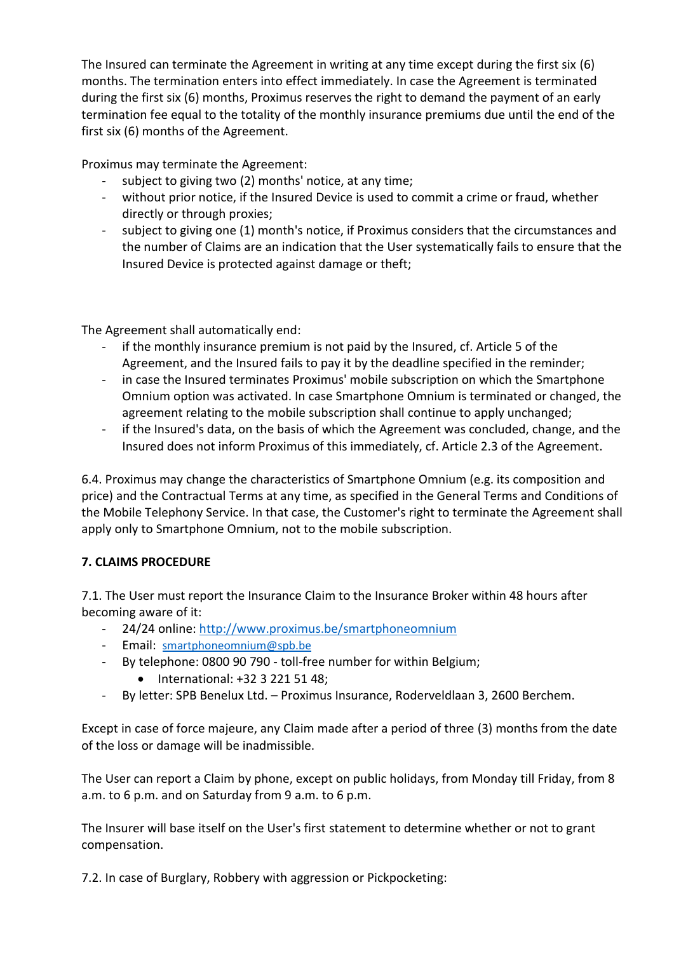The Insured can terminate the Agreement in writing at any time except during the first six (6) months. The termination enters into effect immediately. In case the Agreement is terminated during the first six (6) months, Proximus reserves the right to demand the payment of an early termination fee equal to the totality of the monthly insurance premiums due until the end of the first six (6) months of the Agreement.

Proximus may terminate the Agreement:

- subject to giving two (2) months' notice, at any time;
- without prior notice, if the Insured Device is used to commit a crime or fraud, whether directly or through proxies;
- subject to giving one (1) month's notice, if Proximus considers that the circumstances and the number of Claims are an indication that the User systematically fails to ensure that the Insured Device is protected against damage or theft;

The Agreement shall automatically end:

- if the monthly insurance premium is not paid by the Insured, cf. Article 5 of the Agreement, and the Insured fails to pay it by the deadline specified in the reminder;
- in case the Insured terminates Proximus' mobile subscription on which the Smartphone Omnium option was activated. In case Smartphone Omnium is terminated or changed, the agreement relating to the mobile subscription shall continue to apply unchanged;
- if the Insured's data, on the basis of which the Agreement was concluded, change, and the Insured does not inform Proximus of this immediately, cf. Article 2.3 of the Agreement.

6.4. Proximus may change the characteristics of Smartphone Omnium (e.g. its composition and price) and the Contractual Terms at any time, as specified in the General Terms and Conditions of the Mobile Telephony Service. In that case, the Customer's right to terminate the Agreement shall apply only to Smartphone Omnium, not to the mobile subscription.

# **7. CLAIMS PROCEDURE**

7.1. The User must report the Insurance Claim to the Insurance Broker within 48 hours after becoming aware of it:

- 24/24 online:<http://www.proximus.be/smartphoneomnium>
- Email: [smartphoneomnium@spb.be](mailto:smartphoneomnium@spb.be)
- By telephone: 0800 90 790 toll-free number for within Belgium;
	- International: +32 3 221 51 48;
- By letter: SPB Benelux Ltd. Proximus Insurance, Roderveldlaan 3, 2600 Berchem.

Except in case of force majeure, any Claim made after a period of three (3) months from the date of the loss or damage will be inadmissible.

The User can report a Claim by phone, except on public holidays, from Monday till Friday, from 8 a.m. to 6 p.m. and on Saturday from 9 a.m. to 6 p.m.

The Insurer will base itself on the User's first statement to determine whether or not to grant compensation.

7.2. In case of Burglary, Robbery with aggression or Pickpocketing: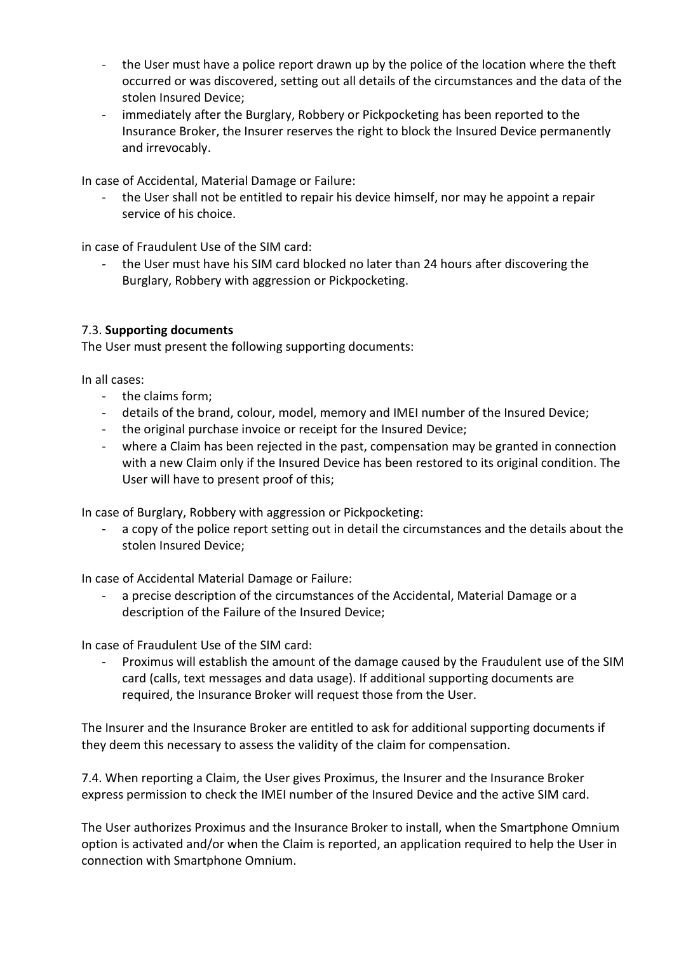- the User must have a police report drawn up by the police of the location where the theft occurred or was discovered, setting out all details of the circumstances and the data of the stolen Insured Device;
- immediately after the Burglary, Robbery or Pickpocketing has been reported to the Insurance Broker, the Insurer reserves the right to block the Insured Device permanently and irrevocably.

In case of Accidental, Material Damage or Failure:

- the User shall not be entitled to repair his device himself, nor may he appoint a repair service of his choice.

in case of Fraudulent Use of the SIM card:

- the User must have his SIM card blocked no later than 24 hours after discovering the Burglary, Robbery with aggression or Pickpocketing.

# 7.3. **Supporting documents**

The User must present the following supporting documents:

In all cases:

- the claims form;
- details of the brand, colour, model, memory and IMEI number of the Insured Device;
- the original purchase invoice or receipt for the Insured Device;
- where a Claim has been rejected in the past, compensation may be granted in connection with a new Claim only if the Insured Device has been restored to its original condition. The User will have to present proof of this;

In case of Burglary, Robbery with aggression or Pickpocketing:

- a copy of the police report setting out in detail the circumstances and the details about the stolen Insured Device;

In case of Accidental Material Damage or Failure:

a precise description of the circumstances of the Accidental, Material Damage or a description of the Failure of the Insured Device;

In case of Fraudulent Use of the SIM card:

Proximus will establish the amount of the damage caused by the Fraudulent use of the SIM card (calls, text messages and data usage). If additional supporting documents are required, the Insurance Broker will request those from the User.

The Insurer and the Insurance Broker are entitled to ask for additional supporting documents if they deem this necessary to assess the validity of the claim for compensation.

7.4. When reporting a Claim, the User gives Proximus, the Insurer and the Insurance Broker express permission to check the IMEI number of the Insured Device and the active SIM card.

The User authorizes Proximus and the Insurance Broker to install, when the Smartphone Omnium option is activated and/or when the Claim is reported, an application required to help the User in connection with Smartphone Omnium.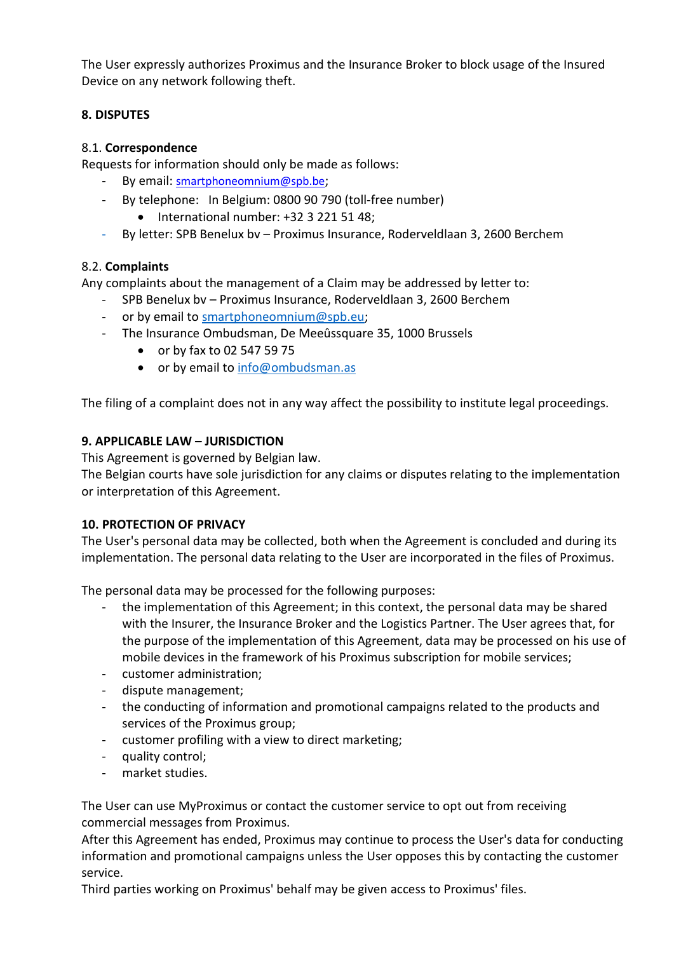The User expressly authorizes Proximus and the Insurance Broker to block usage of the Insured Device on any network following theft.

# **8. DISPUTES**

## 8.1. **Correspondence**

Requests for information should only be made as follows:

- By email: smartphoneomnium@spb.be;
- By telephone: In Belgium: 0800 90 790 (toll-free number) • International number: +32 3 221 51 48;
- By letter: SPB Benelux bv Proximus Insurance, Roderveldlaan 3, 2600 Berchem

# 8.2. **Complaints**

Any complaints about the management of a Claim may be addressed by letter to:

- SPB Benelux bv Proximus Insurance, Roderveldlaan 3, 2600 Berchem
- or by email to [smartphoneomnium@spb.eu;](mailto:smartphoneomnium@spb.eu)
- The Insurance Ombudsman, De Meeûssquare 35, 1000 Brussels
	- or by fax to 02 547 59 75
	- or by email to [info@ombudsman.as](mailto:info@ombudsman.as)

The filing of a complaint does not in any way affect the possibility to institute legal proceedings.

# **9. APPLICABLE LAW – JURISDICTION**

This Agreement is governed by Belgian law.

The Belgian courts have sole jurisdiction for any claims or disputes relating to the implementation or interpretation of this Agreement.

## **10. PROTECTION OF PRIVACY**

The User's personal data may be collected, both when the Agreement is concluded and during its implementation. The personal data relating to the User are incorporated in the files of Proximus.

The personal data may be processed for the following purposes:

- the implementation of this Agreement; in this context, the personal data may be shared with the Insurer, the Insurance Broker and the Logistics Partner. The User agrees that, for the purpose of the implementation of this Agreement, data may be processed on his use of mobile devices in the framework of his Proximus subscription for mobile services;
- customer administration;
- dispute management;
- the conducting of information and promotional campaigns related to the products and services of the Proximus group;
- customer profiling with a view to direct marketing;
- quality control;
- market studies.

The User can use MyProximus or contact the customer service to opt out from receiving commercial messages from Proximus.

After this Agreement has ended, Proximus may continue to process the User's data for conducting information and promotional campaigns unless the User opposes this by contacting the customer service.

Third parties working on Proximus' behalf may be given access to Proximus' files.